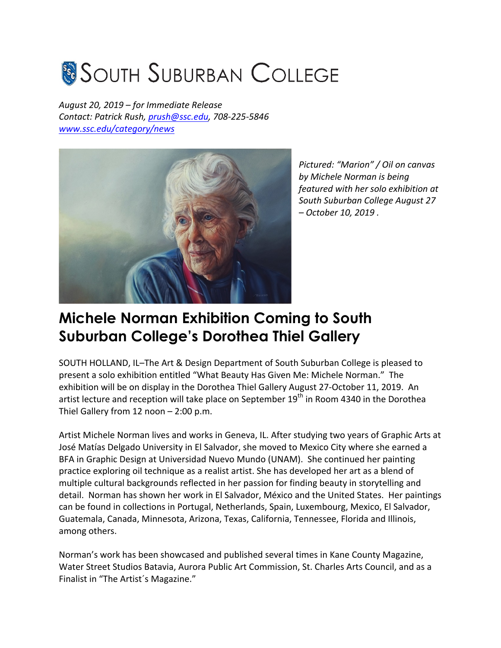## **SOUTH SUBURBAN COLLEGE**

*August 20, 2019 – for Immediate Release Contact: Patrick Rush, prush@ssc.edu, 708-225-5846 www.ssc.edu/category/news*



*Pictured: "Marion" / Oil on canvas by Michele Norman is being featured with her solo exhibition at South Suburban College August 27 – October 10, 2019 .*

## **Michele Norman Exhibition Coming to South Suburban College's Dorothea Thiel Gallery**

SOUTH HOLLAND, IL–The Art & Design Department of South Suburban College is pleased to present a solo exhibition entitled "What Beauty Has Given Me: Michele Norman." The exhibition will be on display in the Dorothea Thiel Gallery August 27-October 11, 2019. An artist lecture and reception will take place on September  $19<sup>th</sup>$  in Room 4340 in the Dorothea Thiel Gallery from 12 noon  $- 2:00$  p.m.

Artist Michele Norman lives and works in Geneva, IL. After studying two years of Graphic Arts at José Matías Delgado University in El Salvador, she moved to Mexico City where she earned a BFA in Graphic Design at Universidad Nuevo Mundo (UNAM). She continued her painting practice exploring oil technique as a realist artist. She has developed her art as a blend of multiple cultural backgrounds reflected in her passion for finding beauty in storytelling and detail. Norman has shown her work in El Salvador, México and the United States. Her paintings can be found in collections in Portugal, Netherlands, Spain, Luxembourg, Mexico, El Salvador, Guatemala, Canada, Minnesota, Arizona, Texas, California, Tennessee, Florida and Illinois, among others.

Norman's work has been showcased and published several times in Kane County Magazine, Water Street Studios Batavia, Aurora Public Art Commission, St. Charles Arts Council, and as a Finalist in "The Artist's Magazine."